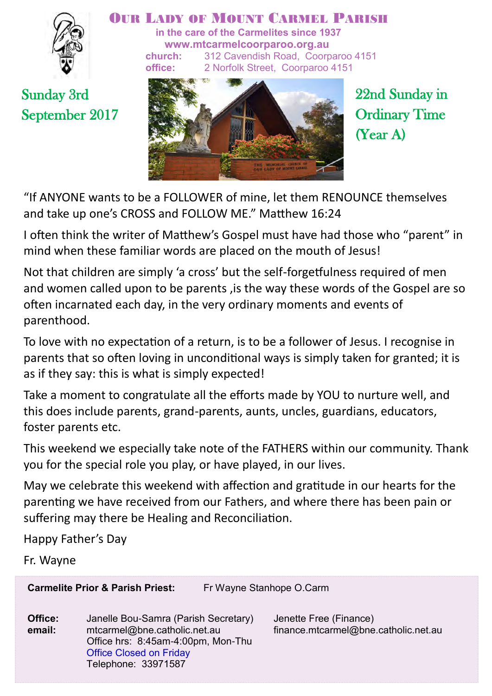

#### OUR LADY OF MOUNT CARMEL PARISH

**in the care of the Carmelites since 1937 www.mtcarmelcoorparoo.org.au church:** 312 Cavendish Road, Coorparoo 4151 **office:** 2 Norfolk Street, Coorparoo 4151

Sunday 3rd September 2017



22nd Sunday in Ordinary Time (Year A)

"If ANYONE wants to be a FOLLOWER of mine, let them RENOUNCE themselves and take up one's CROSS and FOLLOW ME." Matthew 16:24

I often think the writer of Matthew's Gospel must have had those who "parent" in mind when these familiar words are placed on the mouth of Jesus!

Not that children are simply 'a cross' but the self-forgetfulness required of men and women called upon to be parents ,is the way these words of the Gospel are so often incarnated each day, in the very ordinary moments and events of parenthood.

To love with no expectation of a return, is to be a follower of Jesus. I recognise in parents that so often loving in unconditional ways is simply taken for granted; it is as if they say: this is what is simply expected!

Take a moment to congratulate all the efforts made by YOU to nurture well, and this does include parents, grand-parents, aunts, uncles, guardians, educators, foster parents etc.

This weekend we especially take note of the FATHERS within our community. Thank you for the special role you play, or have played, in our lives.

May we celebrate this weekend with affection and gratitude in our hearts for the parenting we have received from our Fathers, and where there has been pain or suffering may there be Healing and Reconciliation.

Happy Father's Day

Fr. Wayne

**Carmelite Prior & Parish Priest:** Fr Wayne Stanhope O.Carm

**Office:** Janelle Bou-Samra (Parish Secretary) Jenette Free (Finance)  **email:** mtcarmel@bne.catholic.net.au finance.mtcarmel@bne.catholic.net.au Office hrs: 8:45am-4:00pm, Mon-Thu Office Closed on Friday Telephone: 33971587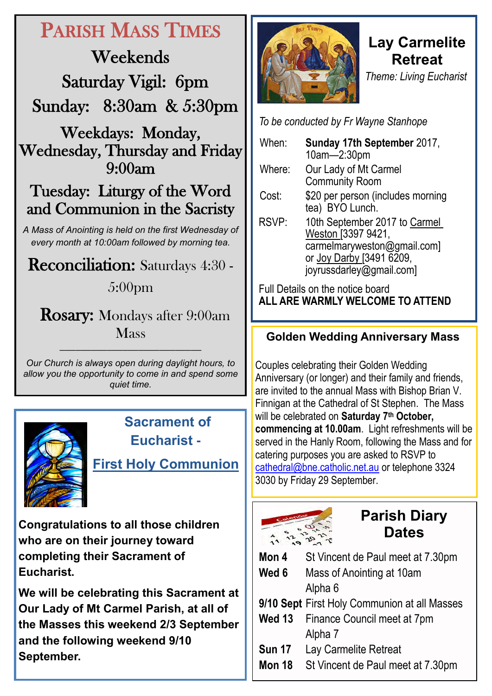# PARISH MASS TIMES

Weekends Saturday Vigil: 6pm Sunday: 8:30am & 5:30pm

Weekdays: Monday, Wednesday, Thursday and Friday 9:00am

## Tuesday: Liturgy of the Word and Communion in the Sacristy

*A Mass of Anointing is held on the first Wednesday of every month at 10:00am followed by morning tea.*

### Reconciliation: Saturdays 4:30 -

### 5:00pm

 Rosary: Mondays after 9:00am Mass

*Our Church is always open during daylight hours, to allow you the opportunity to come in and spend some quiet time.*

———————————————————————————



 **Sacrament of Eucharist -** 

**First Holy Communion**

**Congratulations to all those children who are on their journey toward completing their Sacrament of Eucharist.** 

**We will be celebrating this Sacrament at Our Lady of Mt Carmel Parish, at all of the Masses this weekend 2/3 September and the following weekend 9/10 September.**



### **Lay Carmelite Retreat** *Theme: Living Eucharist*

*To be conducted by Fr Wayne Stanhope* 

| When:                            | Sunday 17th September 2017,<br>10am-2:30pm                                                                                                 |  |
|----------------------------------|--------------------------------------------------------------------------------------------------------------------------------------------|--|
| Where:                           | Our Lady of Mt Carmel<br><b>Community Room</b>                                                                                             |  |
| Cost:                            | \$20 per person (includes morning<br>tea) BYO Lunch.                                                                                       |  |
| RSVP:                            | 10th September 2017 to Carmel<br>Weston [3397 9421,<br>carmelmaryweston@gmail.com]<br>or Joy Darby [3491 6209,<br>joyrussdarley@gmail.com] |  |
| Full Details on the notice board |                                                                                                                                            |  |

**ALL ARE WARMLY WELCOME TO ATTEND**

#### **Golden Wedding Anniversary Mass**

Couples celebrating their Golden Wedding Anniversary (or longer) and their family and friends, are invited to the annual Mass with Bishop Brian V. Finnigan at the Cathedral of St Stephen. The Mass will be celebrated on **Saturday 7th October, commencing at 10.00am**. Light refreshments will be served in the Hanly Room, following the Mass and for catering purposes you are asked to RSVP to [cathedral@bne.catholic.net.au o](mailto:cathedral@bne.catholic.net.au)r telephone 3324 3030 by Friday 29 September.



## **Parish Diary Dates**

| Mon 4         | St Vincent de Paul meet at 7.30pm            |
|---------------|----------------------------------------------|
| Wed 6         | Mass of Anointing at 10am                    |
|               | Alpha 6                                      |
|               | 9/10 Sept First Holy Communion at all Masses |
|               | Wed 13 Finance Council meet at 7pm           |
|               | Alpha 7                                      |
| <b>Sun 17</b> | Lay Carmelite Retreat                        |
| <b>Mon 18</b> | St Vincent de Paul meet at 7.30pm            |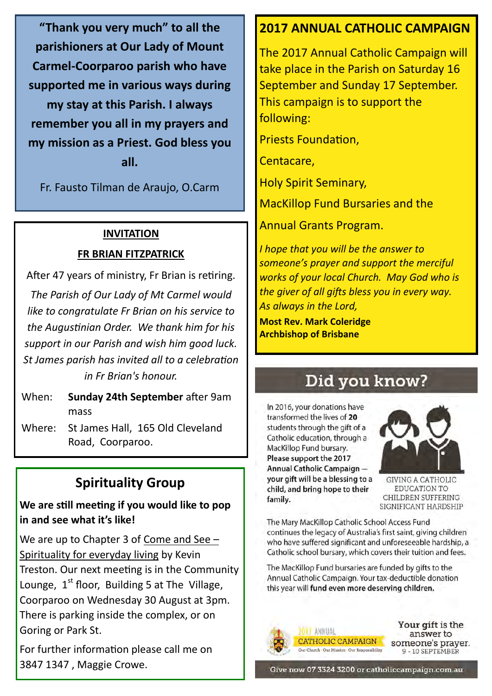**"Thank you very much" to all the parishioners at Our Lady of Mount Carmel-Coorparoo parish who have supported me in various ways during my stay at this Parish. I always remember you all in my prayers and my mission as a Priest. God bless you all.**

Fr. Fausto Tilman de Araujo, O.Carm

#### **INVITATION**

#### **FR BRIAN FITZPATRICK**

After 47 years of ministry, Fr Brian is retiring.

*The Parish of Our Lady of Mt Carmel would like to congratulate Fr Brian on his service to the Augustinian Order. We thank him for his support in our Parish and wish him good luck. St James parish has invited all to a celebration in Fr Brian's honour.* 

When: **Sunday 24th September** after 9am mass

Where: St James Hall, 165 Old Cleveland Road, Coorparoo.

### **Spirituality Group**

**We are still meeting if you would like to pop in and see what it's like!**

We are up to Chapter 3 of Come and See – Spirituality for everyday living by Kevin Treston. Our next meeting is in the Community Lounge,  $1<sup>st</sup>$  floor, Building 5 at The Village, Coorparoo on Wednesday 30 August at 3pm. There is parking inside the complex, or on Goring or Park St.

For further information please call me on 3847 1347 , Maggie Crowe.

#### **2017 ANNUAL CATHOLIC CAMPAIGN**

The 2017 Annual Catholic Campaign will take place in the Parish on Saturday 16 September and Sunday 17 September. This campaign is to support the following:

Priests Foundation,

Centacare,

Holy Spirit Seminary,

MacKillop Fund Bursaries and the

Annual Grants Program.

*I hope that you will be the answer to someone's prayer and support the merciful works of your local Church. May God who is the giver of all gifts bless you in every way. As always in the Lord,* 

**Most Rev. Mark Coleridge Archbishop of Brisbane**

## Did you know?

In 2016, your donations have transformed the lives of 20 students through the gift of a Catholic education, through a MacKillop Fund bursary. Please support the 2017 Annual Catholic Campaign vour gift will be a blessing to a child, and bring hope to their family.



**GIVING A CATHOLIC** EDUCATION TO CHILDREN SUFFERING SIGNIFICANT HARDSHIP

The Mary MacKillop Catholic School Access Fund continues the legacy of Australia's first saint, giving children who have suffered significant and unforeseeable hardship, a Catholic school bursary, which covers their tuition and fees.

The MacKillop Fund bursaries are funded by gifts to the Annual Catholic Campaign, Your tax-deductible donation this year will fund even more deserving children.



Your gift is the answer to someone's prayer. 9 - 10 SEPTEMBER